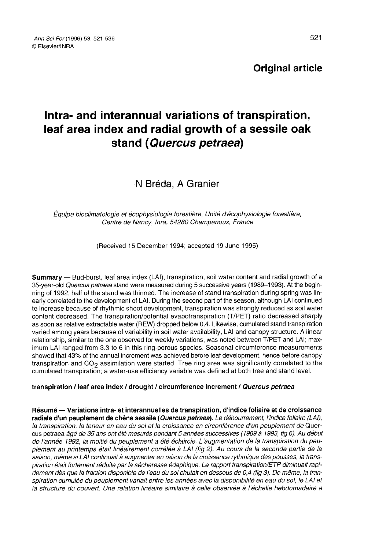Original article

# Intra- and interannual variations of transpiration, leaf area index and radial growth of a sessile oak stand (Quercus petraea)

N Bréda, A Granier

Équipe bioclimatologie et écophysiologie forestière, Unité d'écophysiologie forestière, Centre de Nancy, Inra, 54280 Champenoux, France

(Received 15 December 1994; accepted 19 June 1995)

Summary — Bud-burst, leaf area index (LAI), transpiration, soil water content and radial growth of a 35-year-old Quercus petraea stand were measured during 5 successive years (1989-1993). At the beginning of 1992, half of the stand was thinned. The increase of stand transpiration during spring was linearly correlated to the development of LAI. During the second part of the season, although LAI continued to increase because of rhythmic shoot development, transpiration was strongly reduced as soil water content decreased. The transpiration/potential evapotranspiration (T/PET) ratio decreased sharply as soon as relative extractable water (REW) dropped below 0.4. Likewise, cumulated stand transpiration varied among years because of variability in soil water availability, LAI and canopy structure. A linear relationship, similar to the one observed for weekly variations, was noted between T/PET and LAI; maximum LAI ranged from 3.3 to 6 in this ring-porous species. Seasonal circumference measurements showed that 43% of the annual increment was achieved before leaf development, hence before canopy transpiration and  $CO<sub>2</sub>$  assimilation were started. Tree ring area was significantly correlated to the cumulated transpiration; a water-use efficiency variable was defined at both tree and stand level.

#### transpiration / leaf area index / drought / circumference increment / Quercus petraea

Résumé — Variations intra- et interannuelles de transpiration, d'indice foliaire et de croissance radiale d'un peuplement de chêne sessile (Quercus petraea). Le débourrement, l'indice foliaire (LAI), la transpiration, la teneur en eau du sol et la croissance en circonférence d'un peuplement de Quercus petraea âgé de 35 ans ont été mesurés pendant 5 années successives (1989 à 1993, fig 6). Au début de l'année 1992, la moitié du peuplement a été éclaircie. L'augmentation de la transpiration du peuplement au printemps était linéairement corrélée à LAI (fig 2). Au cours de la seconde partie de la saison, même si LAI continuait à augmenter en raison de la croissance rythmique des pousses, la transpiration était fortement réduite par la sécheresse édaphique. Le rapport transpiration/ETP diminuait rapidement dès que la fraction disponible de l'eau du sol chutait en dessous de 0,4 (fig 3). De même, la transpiration cumulée du peuplement variait entre les années avec la disponibilité en eau du sol, le LAI et la structure du couvert. Une relation linéaire similaire à celle observée à l'échelle hebdomadaire a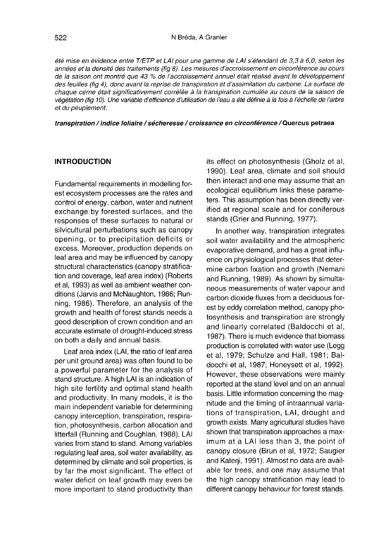été mise en évidence entre T/ETP et LAI pour une gamme de LAI s'étendant de 3,3 à 6,0, selon les années et la densité des traitements (fig 8). Les mesures d'accroissement en circonférence au cours de la saison ont montré que 43 % de l'accroissement annuel était réalisé avant le développement des feuilles (fig 4), donc avant la reprise de transpiration et d'assimilation du carbone. La surface de chaque cerne était significativement corrélée à la transpiration cumulée au cours de la saison de végétation (fig 10). Une variable d'efficience d'utilisation de l'eau a été définie à la fois à l'échelle de l'arbre et du peuplement.

transpiration / indice foliaire / sécheresse / croissance en circonférence / Quercus petraea

#### INTRODUCTION

Fundamental requirements in modelling forest ecosystem processes are the rates and control of energy, carbon, water and nutrient exchange by forested surfaces, and the responses of these surfaces to natural or silvicultural perturbations such as canopy opening, or to precipitation deficits or excess. Moreover, production depends on leaf area and may be influenced by canopy structural characteristics (canopy stratification and coverage, leaf area index) (Roberts et al, 1993) as well as ambient weather conditions (Jarvis and McNaughton, 1986; Running, 1986). Therefore, an analysis of the growth and health of forest stands needs a good description of crown condition and an accurate estimate of drought-induced stress on both a daily and annual basis.

Leaf area index (LAI, the ratio of leaf area per unit ground area) was often found to be a powerful parameter for the analysis of stand structure. A high LAI is an indication of high site fertility and optimal stand health and productivity. In many models, it is the main independent variable for determining canopy interception, transpiration, respiration, photosynthesis, carbon allocation and litterfall (Running and Coughlan, 1988). LAI varies from stand to stand. Among variables regulating leaf area, soil water availability, as determined by climate and soil properties, is by far the most significant. The effect of water deficit on leaf growth may even be more important to stand productivity than its effect on photosynthesis (Gholz et al, 1990). Leaf area, climate and soil should then interact and one may assume that an ecological equilibrium links these parameters. This assumption has been directly verified at regional scale and for coniferous stands (Grier and Running, 1977).

In another way, transpiration integrates soil water availability and the atmospheric evaporative demand, and has a great influence on physiological processes that determine carbon fixation and growth (Nemani and Running, 1989). As shown by simultaneous measurements of water vapour and carbon dioxide fluxes from a deciduous forest by eddy correlation method, canopy photosynthesis and transpiration are strongly and linearly correlated (Baldocchi et al, 1987). There is much evidence that biomass production is correlated with water use (Legg et al, 1979; Schulze and Hall, 1981; Baldocchi et al, 1987; Honeysett et al, 1992). However, these observations were mainly reported at the stand level and on an annual basis. Little information concerning the magnitude and the timing of intraannual variations of transpiration, LAI, drought and growth exists. Many agricultural studies have shown that transpiration approaches a maximum at a LAI less than 3, the point of canopy closure (Brun et al, 1972; Saugier and Katerji, 1991). Almost no data are available for trees, and one may assume that the high canopy stratification may lead to different canopy behaviour for forest stands.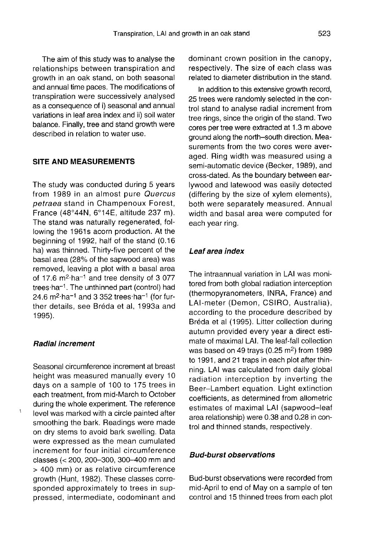The aim of this study was to analyse the relationships between transpiration and growth in an oak stand, on both seasonal and annual time paces. The modifications of transpiration were successively analysed as a consequence of i) seasonal and annual variations in leaf area index and ii) soil water balance. Finally, tree and stand growth were described in relation to water use.

#### SITE AND MEASUREMENTS

The study was conducted during 5 years from 1989 in an almost pure Quercus petraea stand in Champenoux Forest, France (48°44N, 6°14E, altitude 237 m). The stand was naturally regenerated, following the 1961s acorn production. At the beginning of 1992, half of the stand (0.16 ha) was thinned. Thirty-five percent of the basal area (28% of the sapwood area) was removed, leaving a plot with a basal area of 17.6 m<sup>2</sup>·ha<sup>-1</sup> and tree density of 3 077 trees·ha<sup>-1</sup>. The unthinned part (control) had 2 basal area (28% of the sapwood area) was removed, leaving a plot with a basal area ha) was thinned. Thirty-five percent of the<br>basal area (28% of the sapwood area) was<br>removed, leaving a plot with a basal area<br>of 17.6 m<sup>2</sup>·ha<sup>-1</sup> and tree density of 3 077<br>trees·ha<sup>-1</sup> The unthinned part (control) bad of 17.6 m<sup>2</sup>·ha<sup>-1</sup> and tree density of 3 077<br>trees·ha<sup>-1</sup>. The unthinned part (control) had<br>24.6 m<sup>2</sup>·ha<sup>-1</sup> and 3 352 trees·ha<sup>-1</sup> (for further details, see Bréda et al, 1993a and 1995).

## Radial increment

Seasonal circumference increment at breast height was measured manually every 10 days on a sample of 100 to 175 trees in each treatment, from mid-March to October during the whole experiment. The reference level was marked with a circle painted after smoothing the bark. Readings were made on dry stems to avoid bark swelling. Data were expressed as the mean cumulated increment for four initial circumference classes (< 200, 200-300, 300-400 mm and > 400 mm) or as relative circumference growth (Hunt, 1982). These classes corresponded approximately to trees in suppressed, intermediate, codominant and dominant crown position in the canopy, respectively. The size of each class was related to diameter distribution in the stand.

In addition to this extensive growth record, 25 trees were randomly selected in the control stand to analyse radial increment from tree rings, since the origin of the stand. Two cores per tree were extracted at 1.3 m above ground along the north-south direction. Measurements from the two cores were averaged. Ring width was measured using a semi-automatic device (Becker, 1989), and cross-dated. As the boundary between earlywood and latewood was easily detected (differing by the size of xylem elements), both were separately measured. Annual width and basal area were computed for each year ring.

#### Leaf area index

The intraannual variation in LAI was monitored from both global radiation interception (thermopyranometers, INRA, France) and LAI-meter (Demon, CSIRO, Australia), according to the procedure described by Bréda et al (1995). Litter collection during autumn provided every year a direct estimate of maximal LAI. The leaf-fall collection was based on 49 trays (0.25 m<sup>2</sup>) from 1989 to 1991, and 21 traps in each plot after thinning. LAI was calculated from daily global radiation interception by inverting the Beer-Lambert equation. Light extinction coefficients, as determined from allometric estimates of maximal LAI (sapwood-leaf area relationship) were 0.38 and 0.28 in control and thinned stands, respectively.

#### Bud-burst observations

Bud-burst observations were recorded from mid-April to end of May on a sample of ten control and 15 thinned trees from each plot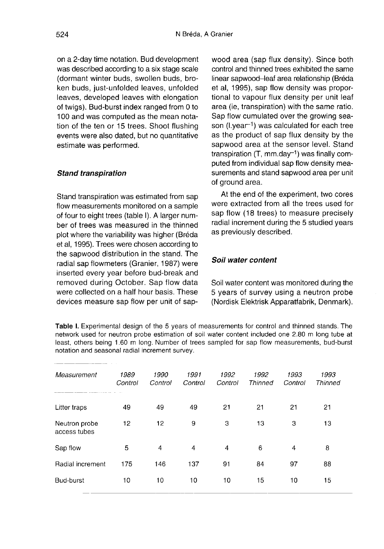on a 2-day time notation. Bud development was described according to a six stage scale (dormant winter buds, swollen buds, broken buds, just-unfolded leaves, unfolded leaves, developed leaves with elongation of twigs). Bud-burst index ranged from 0 to 100 and was computed as the mean notation of the ten or 15 trees. Shoot flushing events were also dated, but no quantitative estimate was performed.

# Stand transpiration

Stand transpiration was estimated from sap flow measurements monitored on a sample of four to eight trees (table I). A larger number of trees was measured in the thinned plot where the variability was higher (Bréda et al, 1995). Trees were chosen according to the sapwood distribution in the stand. The radial sap flowmeters (Granier, 1987) were inserted every year before bud-break and removed during October. Sap flow data were collected on a half hour basis. These devices measure sap flow per unit of sapwood area (sap flux density). Since both control and thinned trees exhibited the same linear sapwood-leaf area relationship (Bréda et al, 1995), sap flow density was proportional to vapour flux density per unit leaf<br>area (ie, transpiration) with the same ratio.<br>Sap flow cumulated over the growing sea-<br>son (l.year<sup>-1</sup>) was calculated for each tree<br>as the product of sap flux density by the area (ie, transpiration) with the same ratio. Sap flow cumulated over the growing season  $(l.\text{year}^{-1})$  was calculated for each tree as the product of sap flux density by the sapwood area at the sensor level. Stand Sap flow cumulated over the growing season (I.year<sup>-1</sup>) was calculated for each tree<br>as the product of sap flux density by the<br>sapwood area at the sensor level. Stand<br>transpiration (T, mm.day<sup>-1</sup>) was finally com-<br>puted f puted from individual sap flow density measurements and stand sapwood area per unit of ground area.

At the end of the experiment, two cores were extracted from all the trees used for sap flow (18 trees) to measure precisely radial increment during the 5 studied years as previously described.

# Soil water content

Soil water content was monitored during the 5 years of survey using a neutron probe (Nordisk Elektrisk Apparatfabrik, Denmark).

Table I. Experimental design of the 5 years of measurements for control and thinned stands. The network used for neutron probe estimation of soil water content included one 2.80 m long tube at least, others being 1.60 m long. Number of trees sampled for sap flow measurements, bud-burst notation and seasonal radial increment survey.

| Measurement                   | 1989<br>Control | 1990<br>Control | 1991<br>Control | 1992<br>Control | 1992<br>Thinned | 1993<br>Control | 1993<br><b>Thinned</b> |
|-------------------------------|-----------------|-----------------|-----------------|-----------------|-----------------|-----------------|------------------------|
| Litter traps                  | 49              | 49              | 49              | 21              | 21              | 21              | 21                     |
| Neutron probe<br>access tubes | 12              | 12              | 9               | 3               | 13              | 3               | 13                     |
| Sap flow                      | 5               | 4               | 4               | 4               | 6               | 4               | 8                      |
| Radial increment              | 175             | 146             | 137             | 91              | 84              | 97              | 88                     |
| Bud-burst                     | 10              | 10              | 10              | 10              | 15              | 10              | 15                     |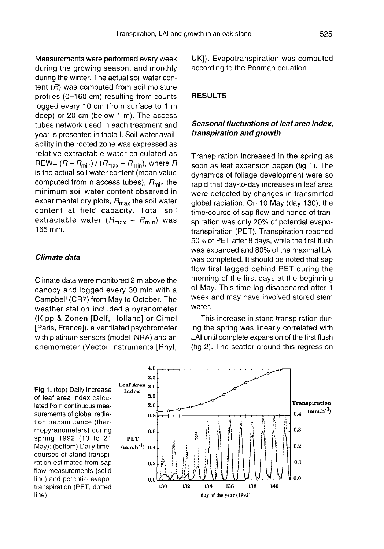Measurements were performed every week during the growing season, and monthly during the winter. The actual soil water content  $(R)$  was computed from soil moisture profiles (0-160 cm) resulting from counts logged every 10 cm (from surface to 1 m deep) or 20 cm (below 1 m). The access tubes network used in each treatment and year is presented in table I. Soil water availability in the rooted zone was expressed as relative extractable water calculated as REW=  $(R - R_{min}) / (R_{max} - R_{min})$ , where R is the actual soil water content (mean value<br>computed from n access tubes),  $R_{\text{min}}$  the<br>minimum soil water content cheoried in minimum soil water content observed in computed from n access tubes),  $R_{min}$  the minimum soil water content observed in experimental dry plots,  $R_{max}$  the soil water content at field capacity. Total soil extractable water  $(R_{\text{max}} - R_{\text{min}})$  was 165 mm.

## Climate data

Climate data were monitored 2 m above the canopy and logged every 30 min with a Campbell (CR7) from May to October. The weather station included a pyranometer (Kipp & Zonen [Delf, Holland] or Cimel [Paris, France]), a ventilated psychrometer with platinum sensors (model INRA) and an anemometer (Vector Instruments [Rhyl, UK]). Evapotranspiration was computed according to the Penman equation.

# RESULTS

# Seasonal fluctuations of leaf area index, transpiration and growth

Transpiration increased in the spring as soon as leaf expansion began (fig 1). The dynamics of foliage development were so rapid that day-to-day increases in leaf area were detected by changes in transmitted global radiation. On 10 May (day 130), the time-course of sap flow and hence of transpiration was only 20% of potential evapotranspiration (PET). Transpiration reached 50% of PET after 8 days, while the first flush was expanded and 80% of the maximal LAI was completed. It should be noted that sap flow first lagged behind PET during the morning of the first days at the beginning of May. This time lag disappeared after 1 week and may have involved stored stem water.

This increase in stand transpiration during the spring was linearly correlated with LAI until complete expansion of the first flush (fig 2). The scatter around this regression

Fig 1. (top) Daily increase of leaf area index calculated from continuous measurements of global radiation transmittance (thermopyranometers) during spring 1992 (10 to 21 May); (bottom) Daily timecourses of stand transpiration estimated from sap flow measurements (solid line) and potential evapotranspiration (PET, dotted line).

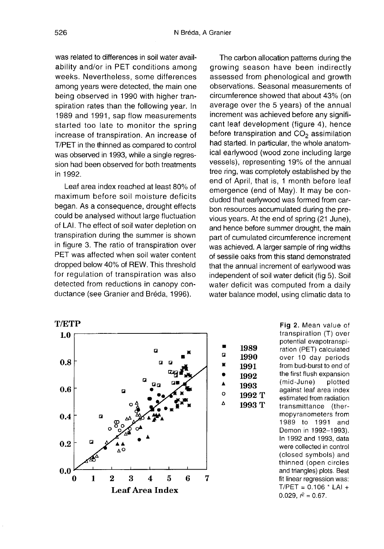was related to differences in soil water availability and/or in PET conditions among weeks. Nevertheless, some differences among years were detected, the main one being observed in 1990 with higher transpiration rates than the following year. In 1989 and 1991, sap flow measurements started too late to monitor the spring increase of transpiration. An increase of T/PET in the thinned as compared to control was observed in 1993, while a single regression had been observed for both treatments in 1992.

Leaf area index reached at least 80% of maximum before soil moisture deficits began. As a consequence, drought effects could be analysed without large fluctuation of LAI. The effect of soil water depletion on transpiration during the summer is shown in figure 3. The ratio of transpiration over PET was affected when soil water content dropped below 40% of REW. This threshold for regulation of transpiration was also detected from reductions in canopy conductance (see Granier and Bréda, 1996).

The carbon allocation patterns during the growing season have been indirectly assessed from phenological and growth observations. Seasonal measurements of circumference showed that about 43% (on average over the 5 years) of the annual increment was achieved before any signifi cant leaf development (figure 4), hence before transpiration and  $CO<sub>2</sub>$  assimilation had started. In particular, the whole anatomical earlywood (wood zone including large vessels), representing 19% of the annual tree ring, was completely established by the end of April, that is, 1 month before leaf emergence (end of May). It may be concluded that earlywood was formed from carbon resources accumulated during the previous years. At the end of spring (21 June), and hence before summer drought, the main part of cumulated circumference increment was achieved. A larger sample of ring widths of sessile oaks from this stand demonstrated that the annual increment of earlywood was independent of soil water deficit (fig 5). Soil water deficit was computed from a daily water balance model, using climatic data to



Fig 2. Mean value of transpiration (T) over potential evapotranspiration (PET) calculated over 10 day periods from bud-burst to end of the first flush expansion (mid-June) plotted against leaf area index estimated from radiation transmittance (thermopyranometers from 1989 to 1991 and Demon in 1992-1993). In 1992 and 1993, data were collected in control (closed symbols) and thinned (open circles and triangles) plots. Best fit linear regression was:  $T/PET = 0.106 * LAI +$ 0.029,  $r^2 = 0.67$ .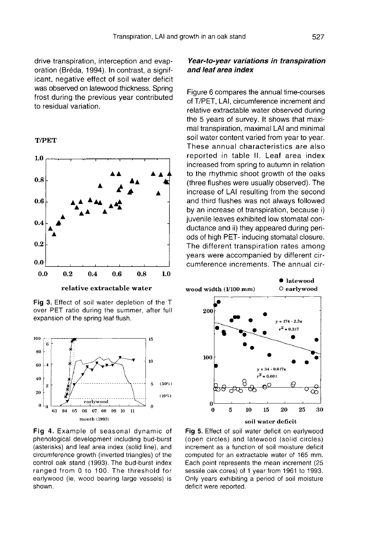drive transpiration, interception and evaporation (Bréda, 1994). In contrast, a significant, negative effect of soil water deficit was observed on latewood thickness. Spring frost during the previous year contributed to residual variation.

**T/PET** 



Fig 3. Effect of soil water depletion of the T over PET ratio during the summer, after full expansion of the spring leaf flush.



Fig 4. Example of seasonal dynamic of phenological development including bud-burst (asterisks) and leaf area index (solid line), and circumference growth (inverted triangles) of the control oak stand (1993). The bud-burst index ranged from 0 to 100. The threshold for earlywood (ie, wood bearing large vessels) is shown.

# Year-to-year variations in transpiration and leaf area index

Figure 6 compares the annual time-courses of T/PET, LAI, circumference increment and relative extractable water observed during the 5 years of survey. It shows that maximal transpiration, maximal LAI and minimal soil water content varied from year to year. These annual characteristics are also reported in table II. Leaf area index increased from spring to autumn in relation to the rhythmic shoot growth of the oaks (three flushes were usually observed). The increase of LAI resulting from the second and third flushes was not always followed by an increase of transpiration, because i) juvenile leaves exhibited low stomatal conductance and ii) they appeared during periods of high PET- inducing stomatal closure. The different transpiration rates among years were accompanied by different circumference increments. The annual cir-



Fig 5. Effect of soil water deficit on earlywood (open circles) and latewood (solid circles) increment as a function of soil moisture deficit computed for an extractable water of 165 mm. Each point represents the mean increment (25 sessile oak cores) of 1 year from 1961 to 1993. Only years exhibiting a period of soil moisture deficit were reported.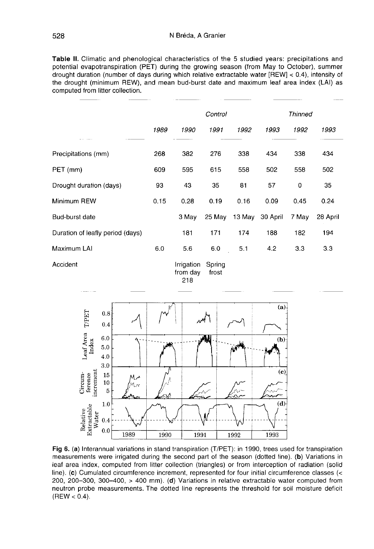Table II. Climatic and phenological characteristics of the 5 studied years: precipitations and potential evapotranspiration (PET) during the growing season (from May to October), summer drought duration (number of days during which relative extractable water [REW] < 0.4), intensity of the drought (minimum REW), and mean bud-burst date and maximum leaf area index (LAI) as computed from litter collection.

|                                  | Control |            |        |        | Thinned  |       |          |
|----------------------------------|---------|------------|--------|--------|----------|-------|----------|
|                                  | 1989    | 1990       | 1991   | 1992   | 1993     | 1992  | 1993     |
| Precipitations (mm)              | 268     | 382        | 276    | 338    | 434      | 338   | 434      |
| PET (mm)                         | 609     | 595        | 615    | 558    | 502      | 558   | 502      |
| Drought duration (days)          | 93      | 43         | 35     | 81     | 57       | 0     | 35       |
| Minimum REW                      | 0.15    | 0.28       | 0.19   | 0.16   | 0.09     | 0.45  | 0.24     |
| Bud-burst date                   |         | 3 May      | 25 May | 13 May | 30 April | 7 May | 28 April |
| Duration of leafly period (days) |         | 181        | 171    | 174    | 188      | 182   | 194      |
| Maximum LAI                      | 6.0     | 5.6        | 6.0    | 5.1    | 4.2      | 3.3   | 3.3      |
| Accident                         |         | Irrigation | Spring |        |          |       |          |

Irrigation Spring from day frost 218



Fig 6. (a) Interannual variations in stand transpiration (T/PET): in 1990, trees used for transpiration measurements were irrigated during the second part of the season (dotted line). (b) Variations in leaf area index, computed from litter collection (triangles) or from interception of radiation (solid line). (c) Cumulated circumference increment, represented for four initial circumference classes (< 200, 200-300, 300-400, > 400 mm). (d) Variations in relative extractable water computed from neutron probe measurements. The dotted line represents the threshold for soil moisture deficit  $(REW < 0.4)$ .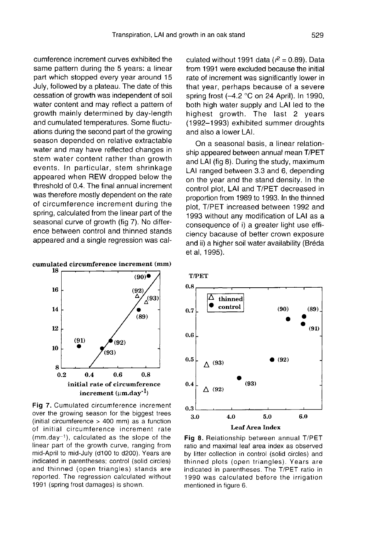cumference increment curves exhibited the same pattern during the 5 years: a linear part which stopped every year around 15 July, followed by a plateau. The date of this cessation of growth was independent of soil water content and may reflect a pattern of growth mainly determined by day-length and cumulated temperatures. Some fluctuations during the second part of the growing season depended on relative extractable water and may have reflected changes in stem water content rather than growth events. In particular, stem shrinkage appeared when REW dropped below the threshold of 0.4. The final annual increment was therefore mostly dependent on the rate of circumference increment during the spring, calculated from the linear part of the seasonal curve of growth (fig 7). No difference between control and thinned stands appeared and a single regression was cal-





Fig 7. Cumulated circumference increment over the growing season for the biggest trees (initial circumference  $>$  400 mm) as a function of initial circumference increment rate  $(mm.day^{-1})$ , calculated as the slope of the linear part of the growth curve, ranging from mid-April to mid-July (d100 to d200). Years are indicated in parentheses; control (solid circles) and thinned (open triangles) stands are reported. The regression calculated without 1991 (spring frost damages) is shown.

culated without 1991 data ( $r^2$  = 0.89). Data from 1991 were excluded because the initial rate of increment was significantly lower in that year, perhaps because of a severe spring frost (-4.2 °C on 24 April). In 1990, both high water supply and LAI led to the highest growth. The last 2 years (1992-1993) exhibited summer droughts and also a lower LAI.

On a seasonal basis, a linear relationship appeared between annual mean T/PET and LAI (fig 8). During the study, maximum LAI ranged between 3.3 and 6, depending on the year and the stand density. In the control plot, LAI and T/PET decreased in proportion from 1989 to 1993. In the thinned plot, T/PET increased between 1992 and 1993 without any modification of LAI as a consequence of i) a greater light use efficiency bacause of better crown exposure and ii) a higher soil water availability (Bréda et al, 1995).





Fig 8. Relationship between annual T/PET ratio and maximal leaf area index as observed by litter collection in control (solid circles) and thinned plots (open triangles). Years are indicated in parentheses. The T/PET ratio in 1990 was calculated before the irrigation mentioned in figure 6.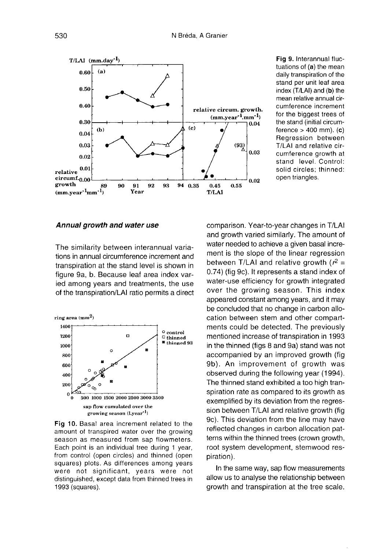

Fig 9. Interannual fluctuations of (a) the mean daily transpiration of the stand per unit leaf area index (T/LAI) and (b) the mean relative annual circumference increment for the biggest trees of the stand (initial circumference  $> 400$  mm). (c) Regression between T/LAI and relative circumference growth at stand level. Control: solid circles; thinned: open triangles.

#### Annual growth and water use

The similarity between interannual variations in annual circumference increment and transpiration at the stand level is shown in figure 9a, b. Because leaf area index varied among years and treatments, the use of the transpiration/LAI ratio permits a direct



Fig 10. Basal area increment related to the amount of transpired water over the growing season as measured from sap flowmeters. Each point is an individual tree during 1 year, from control (open circles) and thinned (open squares) plots. As differences among years were not significant, years were not distinguished, except data from thinned trees in 1993 (squares).

comparison. Year-to-year changes in T/LAI and growth varied similarly. The amount of water needed to achieve a given basal increment is the slope of the linear regression between T/LAI and relative growth  $(r^2 =$ 0.74) (fig 9c). It represents a stand index of water-use efficiency for growth integrated over the growing season. This index appeared constant among years, and it may be concluded that no change in carbon allocation between stem and other compart ments could be detected. The previously mentioned increase of transpiration in 1993 in the thinned (figs 8 and 9a) stand was not accompanied by an improved growth (fig 9b). An improvement of growth was observed during the following year (1994). The thinned stand exhibited a too high transpiration rate as compared to its growth as exemplified by its deviation from the regression between T/LAI and relative growth (fig 9c). This deviation from the line may have reflected changes in carbon allocation pat terns within the thinned trees (crown growth, root system development, stemwood respiration).

In the same way, sap flow measurements allow us to analyse the relationship between growth and transpiration at the tree scale.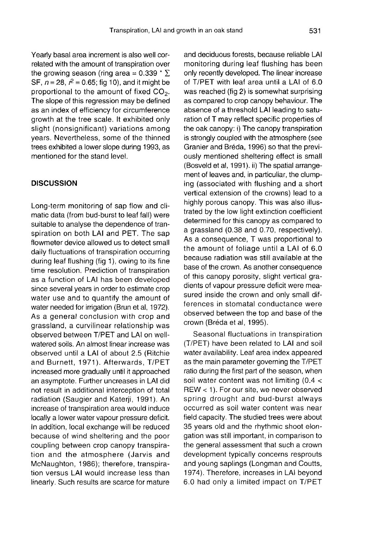Yearly basal area increment is also well correlated with the amount of transpiration over the growing season (ring area =  $0.339 * \Sigma$ ) SF,  $n = 28$ ,  $r^2 = 0.65$ ; fig 10), and it might be<br>proportional to the amount of fixed CO<sub>2</sub>.<br>The slope of this regression may be defined as an index of efficiency for circumference growth at the tree scale. It exhibited only slight (nonsignificant) variations among years. Nevertheless, some of the thinned trees exhibited a lower slope during 1993, as mentioned for the stand level.

#### **DISCUSSION**

Long-term monitoring of sap flow and climatic data (from bud-burst to leaf fall) were suitable to analyse the dependence of transpiration on both LAI and PET. The sap flowmeter device allowed us to detect small daily fluctuations of transpiration occurring during leaf flushing (fig 1), owing to its fine time resolution. Prediction of transpiration as a function of LAI has been developed since several years in order to estimate crop water use and to quantify the amount of water needed for irrigation (Brun et al, 1972). As a general conclusion with crop and grassland, a curvilinear relationship was observed between T/PET and LAI on wellwatered soils. An almost linear increase was observed until a LAI of about 2.5 (Ritchie and Burnett, 1971). Afterwards, T/PET increased more gradually until it approached an asymptote. Further uncreases in LAI did not result in additional interception of total radiation (Saugier and Katerii, 1991). An increase of transpiration area would induce locally a lower water vapour pressure deficit. In addition, local exchange will be reduced because of wind sheltering and the poor coupling between crop canopy transpiration and the atmosphere (Jarvis and McNaughton, 1986); therefore, transpiration versus LAI would increase less than linearly. Such results are scarce for mature and deciduous forests, because reliable LAI monitoring during leaf flushing has been only recently developed. The linear increase of T/PET with leaf area until a LAI of 6.0 was reached (fig 2) is somewhat surprising as compared to crop canopy behaviour. The absence of a threshold LAI leading to saturation of T may reflect specific properties of the oak canopy: i) The canopy transpiration is strongly coupled with the atmosphere (see Granier and Bréda, 1996) so that the previously mentioned sheltering effect is small (Bosveld et al, 1991). ii) The spatial arrangement of leaves and, in particuliar, the clumping (associated with flushing and a short vertical extension of the crowns) lead to a highly porous canopy. This was also illustrated by the low light extinction coefficient determined for this canopy as compared to a grassland (0.38 and 0.70, respectively). As a consequence, T was proportional to the amount of foliage until a LAI of 6.0 because radiation was still available at the base of the crown. As another consequence of this canopy porosity, slight vertical gradients of vapour pressure deficit were measured inside the crown and only small differences in stomatal conductance were observed between the top and base of the crown (Bréda et al, 1995).

Seasonal fluctuations in transpiration (T/PET) have been related to LAI and soil water availability. Leaf area index appeared as the main parameter governing the T/PET ratio during the first part of the season, when soil water content was not limiting (0.4 < REW < 1). For our site, we never observed spring drought and bud-burst always occurred as soil water content was near field capacity. The studied trees were about 35 years old and the rhythmic shoot elongation was still important, in comparison to the general assessment that such a crown development typically concerns resprouts and young saplings (Longman and Coutts, 1974). Therefore, increases in LAI beyond 6.0 had only a limited impact on T/PET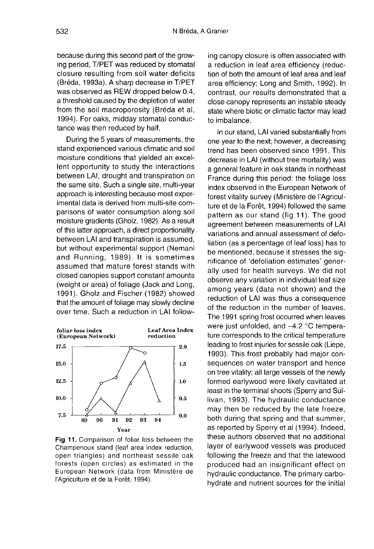because during this second part of the growing period, T/PET was reduced by stomatal closure resulting from soil water deficits (Bréda, 1993a). A sharp decrease in T/PET was observed as REW dropped below 0.4, a threshold caused by the depletion of water from the soil macroporosity (Bréda et al, 1994). For oaks, midday stomatal conductance was then reduced by half.

During the 5 years of measurements, the stand experienced various climatic and soil moisture conditions that yielded an excellent opportunity to study the interactions between LAI, drought and transpiration on the same site. Such a single site, multi-year approach is interesting because most experimental data is derived from multi-site comparisons of water consumption along soil moisture gradients (Gholz, 1982). As a result of this latter approach, a direct proportionality between LAI and transpiration is assumed, but without experimental support (Nemani and Running, 1989). It is sometimes assumed that mature forest stands with closed canopies support constant amounts (weight or area) of foliage (Jack and Long, 1991). Gholz and Fischer (1982) showed that the amount of foliage may slowly decline over time. Such a reduction in LAI follow-



Fig 11. Comparison of foliar loss between the Champenoux stand (leaf area index reduction, open triangles) and northeast sessile oak forests (open circles) as estimated in the European Network (data from Ministère de l'Agriculture et de la Forêt, 1994).

ing canopy closure is often associated with a reduction in leaf area efficiency (reduction of both the amount of leaf area and leaf area efficiency; Long and Smith, 1992). In contrast, our results demonstrated that a close canopy represents an instable steady state where biotic or climatic factor may lead to imbalance.

In our stand, LAI varied substantially from one year to the next; however, a decreasing trend has been observed since 1991. This decrease in LAI (without tree mortality) was a general feature in oak stands in northeast France during this period: the foliage loss index observed in the European Network of forest vitality survey (Ministère de l'Agriculture et de la Forêt, 1994) followed the same pattern as our stand (fig 11). The good agreement between measurements of LAI variations and annual assessment of defoliation (as a percentage of leaf loss) has to be mentioned, because it stresses the significance of 'defoliation estimates' generally used for health surveys. We did not observe any variation in individual leaf size among years (data not shown) and the reduction of LAI was thus a consequence of the reduction in the number of leaves. The 1991 spring frost occurred when leaves were just unfolded, and -4.2 °C temperature corresponds to the critical temperature leading to frost injuries for sessile oak (Liepe, 1993). This frost probably had major consequences on water transport and hence on tree vitality; all large vessels of the newly formed earlywood were likely cavitated at least in the terminal shoots (Sperry and Sullivan, 1993). The hydraulic conductance may then be reduced by the late freeze, both during that spring and that summer, as reported by Sperry et al (1994). Indeed, these authors observed that no additional layer of earlywood vessels was produced following the freeze and that the latewood produced had an insignificant effect on hydraulic conductance. The primary carbohydrate and nutrient sources for the initial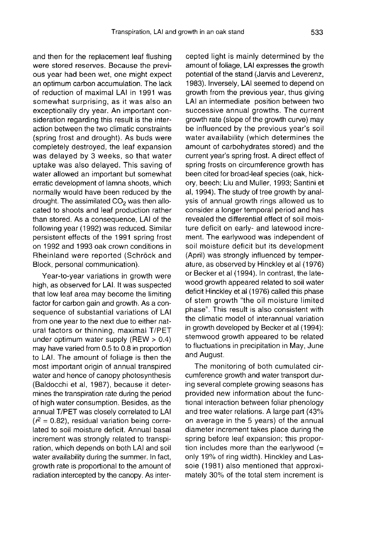and then for the replacement leaf flushing were stored reserves. Because the previ ous year had been wet, one might expect an optimum carbon accumulation. The lack of reduction of maximal LAI in 1991 was somewhat surprising, as it was also an exceptionally dry year. An important consideration regarding this result is the interaction between the two climatic constraints (spring frost and drought). As buds were completely destroyed, the leaf expansion was delayed by 3 weeks, so that water uptake was also delayed. This saving of water allowed an important but somewhat erratic development of lamna shoots, which normally would have been reduced by the drought. The assimilated  $CO<sub>2</sub>$  was then allocated to shoots and leaf production rather than stored. As a consequence, LAI of the following year (1992) was reduced. Similar persistent effects of the 1991 spring frost on 1992 and 1993 oak crown conditions in Rheinland were reported (Schröck and Block, personal communication).

Year-to-year variations in growth were high, as observed for LAI. It was suspected that low leaf area may become the limiting factor for carbon gain and growth. As a consequence of substantial variations of LAI from one year to the next due to either natural factors or thinning, maximal T/PET under optimum water supply (REW > 0.4) may have varied from 0.5 to 0.8 in proportion to LAI. The amount of foliage is then the most important origin of annual transpired water and hence of canopy photosynthesis (Baldocchi et al, 1987), because it determines the transpiration rate during the period of high water consumption. Besides, as the annual T/PET was closely correlated to LAI  $(r^2 = 0.82)$ , residual variation being correlated to soil moisture deficit. Annual basal increment was strongly related to transpiration, which depends on both LAI and soil water availability during the summer. In fact, growth rate is proportional to the amount of radiation intercepted by the canopy. As inter-

cepted light is mainly determined by the amount of foliage, LAI expresses the growth potential of the stand (Jarvis and Leverenz, 1983). Inversely, LAI seemed to depend on growth from the previous year, thus giving LAI an intermediate position between two successive annual growths. The current growth rate (slope of the growth curve) may be influenced by the previous year's soil water availability (which determines the amount of carbohydrates stored) and the current year's spring frost. A direct effect of spring frosts on circumference growth has been cited for broad-leaf species (oak, hickory, beech; Liu and Muller, 1993; Santini et al, 1994). The study of tree growth by analysis of annual growth rings allowed us to consider a longer temporal period and has revealed the differential effect of soil moisture deficit on early- and latewood increment. The earlywood was independent of soil moisture deficit but its development (April) was strongly influenced by temperature, as observed by Hinckley et al (1976) or Becker et al (1994). In contrast, the latewood growth appeared related to soil water deficit Hinckley et al (1976) called this phase of stem growth "the oil moisture limited phase". This result is also consistent with the climatic model of interannual variation in growth developed by Becker et al (1994): stemwood growth appeared to be related to fluctuations in precipitation in May, June and August.

The monitoring of both cumulated circumference growth and water transport during several complete growing seasons has provided new information about the functional interaction between foliar phenology and tree water relations. A large part (43% on average in the 5 years) of the annual diameter increment takes place during the spring before leaf expansion; this proportion includes more than the earlywood  $(=$ only 19% of ring width). Hinckley and Lassoie (1981) also mentioned that approximately 30% of the total stem increment is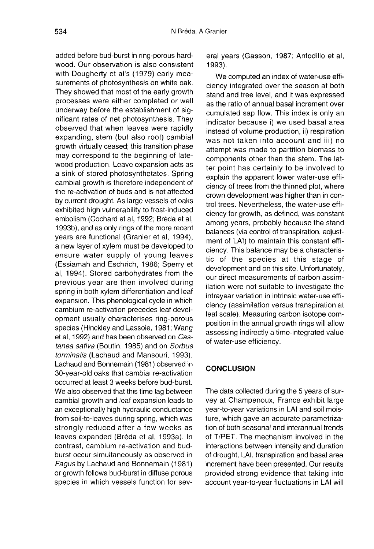added before bud-burst in ring-porous hardwood. Our observation is also consistent with Dougherty et al's (1979) early measurements of photosynthesis on white oak. They showed that most of the early growth processes were either completed or well underway before the establishment of significant rates of net photosynthesis. They observed that when leaves were rapidly expanding, stem (but also root) cambial growth virtually ceased; this transition phase may correspond to the beginning of latewood production. Leave expansion acts as a sink of stored photosynthetates. Spring cambial growth is therefore independent of the re-activation of buds and is not affected by current drought. As large vessels of oaks exhibited high vulnerability to frost-induced embolism (Cochard et al, 1992; Bréda et al, 1993b), and as only rings of the more recent years are functional (Granier et al, 1994), a new layer of xylem must be developed to ensure water supply of young leaves (Essiamah and Eschrich, 1986; Sperry et al, 1994). Stored carbohydrates from the previous year are then involved during spring in both xylem differentiation and leaf expansion. This phenological cycle in which cambium re-activation precedes leaf development usually characterises ring-porous species (Hinckley and Lassoie, 1981; Wang et al, 1992) and has been observed on Castanea sativa (Boutin, 1985) and on Sorbus torminalis (Lachaud and Mansouri, 1993). Lachaud and Bonnemain (1981) observed in 30-year-old oaks that cambial re-activation occurred at least 3 weeks before bud-burst. We also observed that this time lag between cambial growth and leaf expansion leads to an exceptionally high hydraulic conductance from soil-to-leaves during spring, which was strongly reduced after a few weeks as leaves expanded (Bréda et al, 1993a). In contrast, cambium re-activation and budburst occur simultaneously as observed in Fagus by Lachaud and Bonnemain (1981) or growth follows bud-burst in diffuse porous species in which vessels function for several years (Gasson, 1987; Anfodillo et al, 1993).

We computed an index of water-use efficiency integrated over the season at both stand and tree level, and it was expressed as the ratio of annual basal increment over cumulated sap flow. This index is only an indicator because i) we used basal area instead of volume production, ii) respiration was not taken into account and iii) no attempt was made to partition biomass to components other than the stem. The latter point has certainly to be involved to explain the apparent lower water-use efficiency of trees from the thinned plot, where crown development was higher than in control trees. Nevertheless, the water-use efficiency for growth, as defined, was constant among years, probably because the stand balances (via control of transpiration, adjustment of LAI) to maintain this constant efficiency. This balance may be a characteristic of the species at this stage of development and on this site. Unfortunately, our direct measurements of carbon assimilation were not suitable to investigate the intrayear variation in intrinsic water-use efficiency (assimilation versus transpiration at leaf scale). Measuring carbon isotope composition in the annual growth rings will allow assessing indirectly a time-integrated value of water-use efficiency.

# **CONCLUSION**

The data collected during the 5 years of survey at Champenoux, France exhibit large year-to-year variations in LAI and soil moisture, which gave an accurate parametrization of both seasonal and interannual trends of T/PET. The mechanism involved in the interactions between intensity and duration of drought, LAI, transpiration and basal area increment have been presented. Our results provided strong evidence that taking into account year-to-year fluctuations in LAI will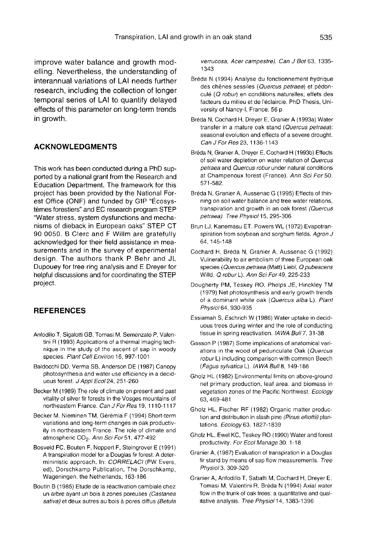improve water balance and growth modelling. Nevertheless, the understanding of interannual variations of LAI needs further research, including the collection of longer temporal series of LAI to quantify delayed effects of this parameter on long-term trends in growth.

#### ACKNOWLEDGMENTS

This work has been conducted during a PhD supported by a national grant from the Research and Education Department. The framework for this project has been provided by the National Forest Office (ONF) and funded by GIP "Écosystèmes forestiers" and EC research program STEP "Water stress, system dysfunctions and mechanisms of dieback in European oaks" STEP CT 90 0050. B Clerc and F Willm are gratefully acknowledged for their field assistance in measurements and in the survey of experimental design. The authors thank P Behr and JL Dupouey for tree ring analysis and E Dreyer for helpful discussions and for coordinating the STEP project.

### REFERENCES

- Anfodillo T, Sigalotti GB, Tomasi M, Semenzato P, Valentini R (1993) Applications of a thermal imaging technique in the study of the ascent of sap in woody species. Plant Cell Environ 16, 997-1001
- Baldocchi DD, Verma SB, Anderson DE (1987) Canopy photosynthesis and water use efficiency in a deciduous forest. J Appl Ecol 24, 251-260
- Becker M (1989) The role of climate on present and past vitality of silver fir forests in the Vosges mountains of northeastern France. Can J For Res 19, 1110-1117
- Becker M, Nieminen TM, Gérémia F (1994) Short-term variations and long-term changes in oak productivity in northeastern France. The role of climate and atmospheric CO<sub>2</sub>. Ann Sci For 51, 477-492
- Bosveld FC, Bouten F, Noppert F, Steingrover E (1991) A transpiration model for a Douglas fir forest. A determininistic approach. In: CORRELACI (PW Evers, ed), Dorschkamp Publication, The Dorschkamp, Wageningen, the Netherlands, 163-186
- Boutin B (1985) Etude de la réactivation cambiale chez un arbre ayant un bois à zones poreuses (Castanea sativa) et deux autres au bois à pores diffus (Betula

verrucosa, Acer campestre). Can J Bot 63, 1335- 1343

- Bréda N (1994) Analyse du fonctionnement hydrique des chênes sessiles (Quercus petraea) et pédonculé (Q robur) en conditions naturelles; effets des facteurs du milieu et de l'éclaircie. PhD Thesis, University of Nancy-I, France, 56 p
- Bréda N, Cochard H, Dreyer E, Granier A (1993a) Water transfer in a mature oak stand (Quercus petraea): seasonal evolution and effects of a severe drought. Can J For Res 23, 1136-1143
- Bréda N, Granier A, Dreyer E, Cochard H (1993b) Effects of soil water depletion on water relation of Quercus petraea and Quercus robur under natural conditions at Champenoux forest (France). Ann Sci For 50, 571-582.
- Bréda N, Granier A, Aussenac G (1995) Effects of thinning on soil water balance and tree water relations, transpiration and growth in an oak forest (Quercus petraea). Tree Physiol 15, 295-306
- Brun LJ, Kanemasu ET, Powers WL (1972) Evapotranspiration from soybean and sorghum fields. Agron J 64, 145-148
- Cochard H, Breda N, Granier A, Aussenac G (1992) Vulnerability to air embolism of three European oak species (Quercus petraea (Matt) Liebl, Q pubescens Willd, Q roburL). Ann Sci For 49, 225-233
- Dougherty PM, Teskey RO, Phelps JE, Hinckley TM (1979) Net photosynthesis and early growth trends of a dominant white oak (Quercus alba L). Plant Physiol 64, 930-935
- Essiamah S, Eschrich W (1986) Water uptake in deciduous trees during winter and the role of conducting tissue in spring reactivation. IAWA Bull 7, 31-38
- Gasson P (1987) Some implications of anatomical variations in the wood of pedunculate Oak (Quercus robur L) including comparison with common Beech (Fagus sylvatica L). IAWA Bull 8, 149-166
- Gholz HL (1982) Environmental limits on above-ground net primary production, leaf area, and biomass in vegetation zones of the Pacific Northwest. Ecology 63, 469-481
- Gholz HL, Fischer RF (1982) Organic matter produc tion and distribution in slash pine (Pinus elliottii) plantations. Ecology 63, 1827-1839
- Gholz HL, Ewel KC, Teskey RO (1990) Water and forest productivity. For Ecol Manage 30, 1-18
- Granier A, (1987) Evaluation of transpiration in a Douglas fir stand by means of sap flow measurements. Tree Physiol 3, 309-320
- Granier A, Anfodillo T, Sabatti M, Cochard H, Dreyer E, Tomasi M, Valentini R, Breda N (1994) Axial water flow in the trunk of oak trees: a quantitative and qualitative analysis. Tree Physiol 14, 1383-1396